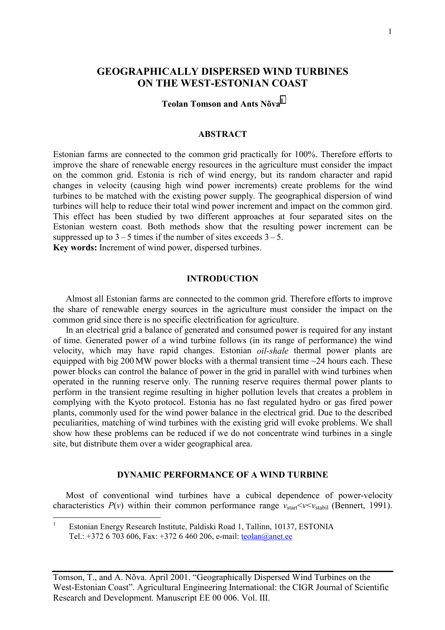# **GEOGRAPHICALLY DISPERSED WIND TURBINES ON THE WEST-ESTONIAN COAST**

### **Teolan Tomson and Ants Nõva<sup>1</sup>**

#### **ABSTRACT**

Estonian farms are connected to the common grid practically for 100%. Therefore efforts to improve the share of renewable energy resources in the agriculture must consider the impact on the common grid. Estonia is rich of wind energy, but its random character and rapid changes in velocity (causing high wind power increments) create problems for the wind turbines to be matched with the existing power supply. The geographical dispersion of wind turbines will help to reduce their total wind power increment and impact on the common gird. This effect has been studied by two different approaches at four separated sites on the Estonian western coast. Both methods show that the resulting power increment can be suppressed up to  $3 - 5$  times if the number of sites exceeds  $3 - 5$ . **Key words:** Increment of wind power, dispersed turbines.

#### **INTRODUCTION**

Almost all Estonian farms are connected to the common grid. Therefore efforts to improve the share of renewable energy sources in the agriculture must consider the impact on the common grid since there is no specific electrification for agriculture.

In an electrical grid a balance of generated and consumed power is required for any instant of time. Generated power of a wind turbine follows (in its range of performance) the wind velocity, which may have rapid changes. Estonian *oil-shale* thermal power plants are equipped with big 200 MW power blocks with a thermal transient time  $\sim$ 24 hours each. These power blocks can control the balance of power in the grid in parallel with wind turbines when operated in the running reserve only. The running reserve requires thermal power plants to perform in the transient regime resulting in higher pollution levels that creates a problem in complying with the Kyoto protocol. Estonia has no fast regulated hydro or gas fired power plants, commonly used for the wind power balance in the electrical grid. Due to the described peculiarities, matching of wind turbines with the existing grid will evoke problems. We shall show how these problems can be reduced if we do not concentrate wind turbines in a single site, but distribute them over a wider geographical area.

#### **DYNAMIC PERFORMANCE OF A WIND TURBINE**

Most of conventional wind turbines have a cubical dependence of power-velocity characteristics  $P(v)$  within their common performance range  $v_{start} < v < v_{stab}$  (Bennert, 1991).

 $\frac{1}{1}$  Estonian Energy Research Institute, Paldiski Road 1, Tallinn, 10137, ESTONIA Tel.: +372 6 703 606, Fax: +372 6 460 206, e-mail: teolan@anet.ee

Tomson, T., and A. Nõva. April 2001. "Geographically Dispersed Wind Turbines on the West-Estonian Coast". Agricultural Engineering International: the CIGR Journal of Scientific Research and Development. Manuscript EE 00 006. Vol. III.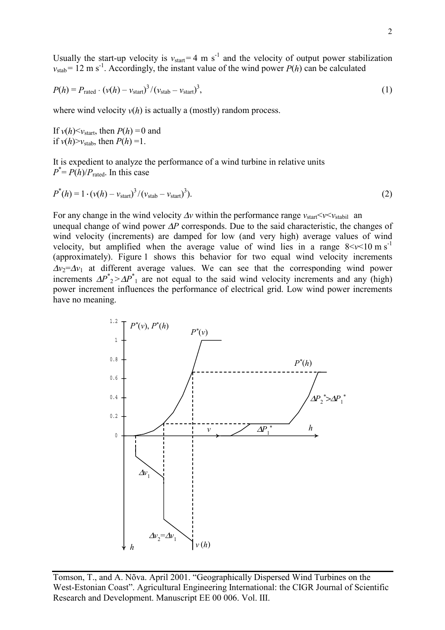Usually the start-up velocity is  $v_{start} = 4 \text{ m s}^{-1}$  and the velocity of output power stabilization  $v_{stab} = 12$  m s<sup>-1</sup>. Accordingly, the instant value of the wind power  $P(h)$  can be calculated

$$
P(h) = P_{\text{rated}} \cdot (\nu(h) - \nu_{\text{start}})^3 / (\nu_{\text{stab}} - \nu_{\text{start}})^3,
$$
\n(1)

where wind velocity  $v(h)$  is actually a (mostly) random process.

If  $v(h) < v_{\text{start}}$ , then  $P(h) = 0$  and if  $v(h)$ > $v_{\text{stab}}$ , then  $P(h)$  =1.

It is expedient to analyze the performance of a wind turbine in relative units  $P^* = P(h)/P_{\text{rated}}$ . In this case

$$
P^*(h) = 1 \cdot (\nu(h) - \nu_{\text{start}})^3 / (\nu_{\text{stab}} - \nu_{\text{start}})^3). \tag{2}
$$

For any change in the wind velocity ∆*v* within the performance range *v*start<*v*<*v*stabil an unequal change of wind power ∆*P* corresponds. Due to the said characteristic, the changes of wind velocity (increments) are damped for low (and very high) average values of wind velocity, but amplified when the average value of wind lies in a range  $8 < v < 10 \text{ m s}^{-1}$ (approximately). Figure 1 shows this behavior for two equal wind velocity increments  $\Delta v_2 = \Delta v_1$  at different average values. We can see that the corresponding wind power increments  $\Delta P^*_{2} > \Delta P^*_{1}$  are not equal to the said wind velocity increments and any (high) power increment influences the performance of electrical grid. Low wind power increments have no meaning.

Tomson, T., and A. Nõva. April 2001. "Geographically Dispersed Wind Turbines on the West-Estonian Coast". Agricultural Engineering International: the CIGR Journal of Scientific Research and Development. Manuscript EE 00 006. Vol. III.

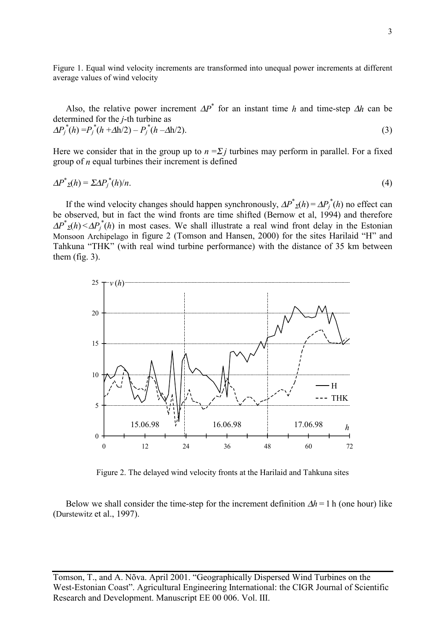Figure 1. Equal wind velocity increments are transformed into unequal power increments at different average values of wind velocity

Also, the relative power increment  $\Delta P^*$  for an instant time *h* and time-step  $\Delta h$  can be determined for the *j*-th turbine as

$$
\Delta P_j^*(h) = P_j^*(h + \Delta h/2) - P_j^*(h - \Delta h/2). \tag{3}
$$

Here we consider that in the group up to  $n = \sum j$  turbines may perform in parallel. For a fixed group of *n* equal turbines their increment is defined

$$
\Delta P^*_{\mathcal{Z}}(h) = \Sigma \Delta P_j^*(h)/n. \tag{4}
$$

If the wind velocity changes should happen synchronously,  $\Delta P^*_{\Sigma}(h) = \Delta P_i^*(h)$  no effect can be observed, but in fact the wind fronts are time shifted (Bernow et al, 1994) and therefore  $\Delta P^*_{\mathcal{Z}}(h) \leq \Delta P^*_{j}(h)$  in most cases. We shall illustrate a real wind front delay in the Estonian Monsoon Archipelago in figure 2 (Tomson and Hansen, 2000) for the sites Harilaid "H" and Tahkuna "THK" (with real wind turbine performance) with the distance of 35 km between them (fig. 3).



Figure 2. The delayed wind velocity fronts at the Harilaid and Tahkuna sites

Below we shall consider the time-step for the increment definition ∆*h* = 1 h (one hour) like (Durstewitz et al., 1997).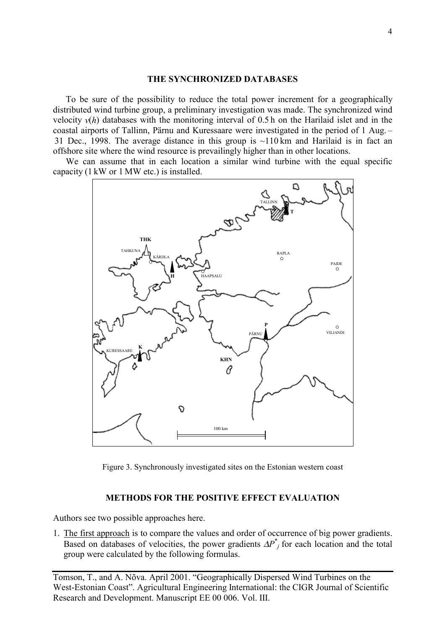### **THE SYNCHRONIZED DATABASES**

To be sure of the possibility to reduce the total power increment for a geographically distributed wind turbine group, a preliminary investigation was made. The synchronized wind velocity  $v(h)$  databases with the monitoring interval of 0.5 h on the Harilaid islet and in the coastal airports of Tallinn, Pärnu and Kuressaare were investigated in the period of 1 Aug. – 31 Dec., 1998. The average distance in this group is  $\sim$ 110 km and Harilaid is in fact an offshore site where the wind resource is prevailingly higher than in other locations.

We can assume that in each location a similar wind turbine with the equal specific capacity (1 kW or 1 MW etc.) is installed.



Figure 3. Synchronously investigated sites on the Estonian western coast

#### **METHODS FOR THE POSITIVE EFFECT EVALUATION**

Authors see two possible approaches here.

1. The first approach is to compare the values and order of occurrence of big power gradients. Based on databases of velocities, the power gradients  $\Delta P^*$  for each location and the total group were calculated by the following formulas.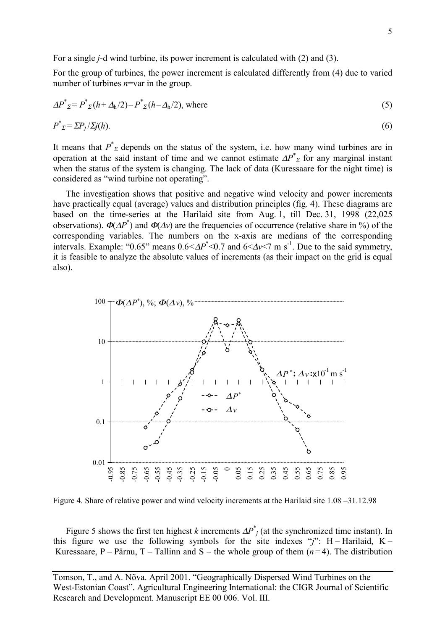For a single *j*-d wind turbine, its power increment is calculated with (2) and (3).

For the group of turbines, the power increment is calculated differently from (4) due to varied number of turbines *n*=var in the group.

$$
\Delta P^*_{\Sigma} = P^*_{\Sigma}(h + \Delta_h/2) - P^*_{\Sigma}(h - \Delta_h/2), \text{ where}
$$
\n
$$
P^*_{\Sigma} = \Sigma P_j / \Sigma j(h).
$$
\n(6)

It means that  $P^*$ <sub>Σ</sub> depends on the status of the system, i.e. how many wind turbines are in operation at the said instant of time and we cannot estimate  $\Delta P^*$ <sub>Σ</sub> for any marginal instant when the status of the system is changing. The lack of data (Kuressaare for the night time) is considered as "wind turbine not operating".

The investigation shows that positive and negative wind velocity and power increments have practically equal (average) values and distribution principles (fig. 4). These diagrams are based on the time-series at the Harilaid site from Aug. 1, till Dec. 31, 1998 (22,025 observations).  $\Phi(\Delta P^*)$  and  $\Phi(\Delta v)$  are the frequencies of occurrence (relative share in %) of the corresponding variables. The numbers on the x-axis are medians of the corresponding intervals. Example: " $0.65$ " means  $0.6 \le AP^* \le 0.7$  and  $6 \le \Delta v \le 7$  m s<sup>-1</sup>. Due to the said symmetry, it is feasible to analyze the absolute values of increments (as their impact on the grid is equal also).



Figure 4. Share of relative power and wind velocity increments at the Harilaid site 1.08 –31.12.98

Figure 5 shows the first ten highest *k* increments  $\Delta P^*$  (at the synchronized time instant). In this figure we use the following symbols for the site indexes " $j$ ": H – Harilaid, K – Kuressaare, P – Pärnu, T – Tallinn and S – the whole group of them  $(n=4)$ . The distribution

Tomson, T., and A. Nõva. April 2001. "Geographically Dispersed Wind Turbines on the West-Estonian Coast". Agricultural Engineering International: the CIGR Journal of Scientific Research and Development. Manuscript EE 00 006. Vol. III.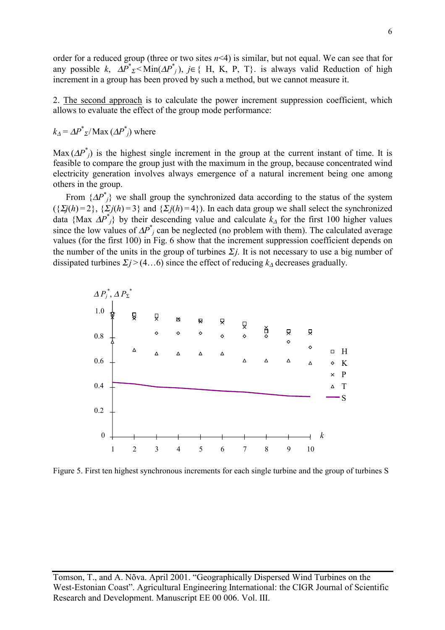order for a reduced group (three or two sites  $n<4$ ) is similar, but not equal. We can see that for any possible *k*,  $\Delta P^*$ <sub>Σ</sub> < Min( $\Delta P^*$ ), *j*∈{ H, K, P, T}. is always valid Reduction of high increment in a group has been proved by such a method, but we cannot measure it.

2. The second approach is to calculate the power increment suppression coefficient, which allows to evaluate the effect of the group mode performance:

 $k_{\Delta} = \Delta P^* \sqrt{\Delta X} (\Delta P^*)$  where

Max  $(\Delta P^*)$  is the highest single increment in the group at the current instant of time. It is feasible to compare the group just with the maximum in the group, because concentrated wind electricity generation involves always emergence of a natural increment being one among others in the group.

From  $\{\Delta P^*\}_\text{j}$  we shall group the synchronized data according to the status of the system  $({\{\Sigma j(h)=2\}, {\{\Sigma j(h)=3\}} \text{ and } {\{\Sigma j(h)=4\}}).$  In each data group we shall select the synchronized data {Max  $\Delta P^*$ } by their descending value and calculate  $k_{\Delta}$  for the first 100 higher values since the low values of  $\Delta P^*$  can be neglected (no problem with them). The calculated average values (for the first 100) in Fig. 6 show that the increment suppression coefficient depends on the number of the units in the group of turbines  $\Sigma j$ . It is not necessary to use a big number of dissipated turbines  $\Sigma j$  > (4…6) since the effect of reducing  $k_{\Delta}$  decreases gradually.



Figure 5. First ten highest synchronous increments for each single turbine and the group of turbines S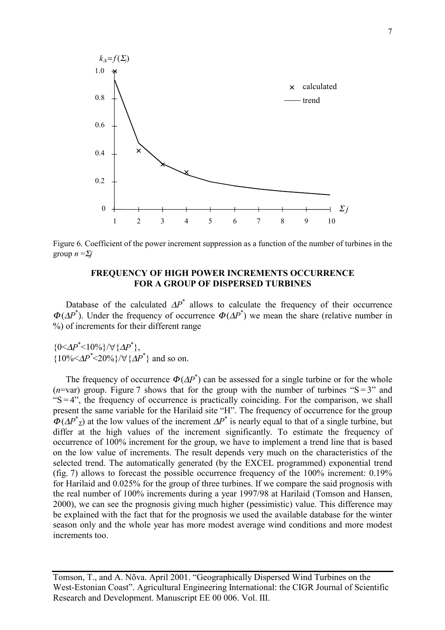

Figure 6. Coefficient of the power increment suppression as a function of the number of turbines in the group  $n = \sum j$ 

## **FREQUENCY OF HIGH POWER INCREMENTS OCCURRENCE FOR A GROUP OF DISPERSED TURBINES**

Database of the calculated  $\Delta P^*$  allows to calculate the frequency of their occurrence  $\Phi(\Delta P^*)$ . Under the frequency of occurrence  $\Phi(\Delta P^*)$  we mean the share (relative number in %) of increments for their different range

 ${0 < \Delta P^* < 10\% }/{\forall {\{\Delta P^*}\},$  ${10\%<\!\!\Delta P^*<\!\!20\%}/\forall {\{\Delta P^*\}}$  and so on.

The frequency of occurrence  $\Phi(\Delta P^*)$  can be assessed for a single turbine or for the whole ( $n$ =var) group. Figure 7 shows that for the group with the number of turbines " $S = 3$ " and " $S = 4$ ", the frequency of occurrence is practically coinciding. For the comparison, we shall present the same variable for the Harilaid site "H". The frequency of occurrence for the group  $\Phi(\Delta P^*_{\Sigma})$  at the low values of the increment  $\Delta P^*$  is nearly equal to that of a single turbine, but differ at the high values of the increment significantly. To estimate the frequency of occurrence of 100% increment for the group, we have to implement a trend line that is based on the low value of increments. The result depends very much on the characteristics of the selected trend. The automatically generated (by the EXCEL programmed) exponential trend (fig. 7) allows to forecast the possible occurrence frequency of the 100% increment: 0.19% for Harilaid and 0.025% for the group of three turbines. If we compare the said prognosis with the real number of 100% increments during a year 1997/98 at Harilaid (Tomson and Hansen, 2000), we can see the prognosis giving much higher (pessimistic) value. This difference may be explained with the fact that for the prognosis we used the available database for the winter season only and the whole year has more modest average wind conditions and more modest increments too.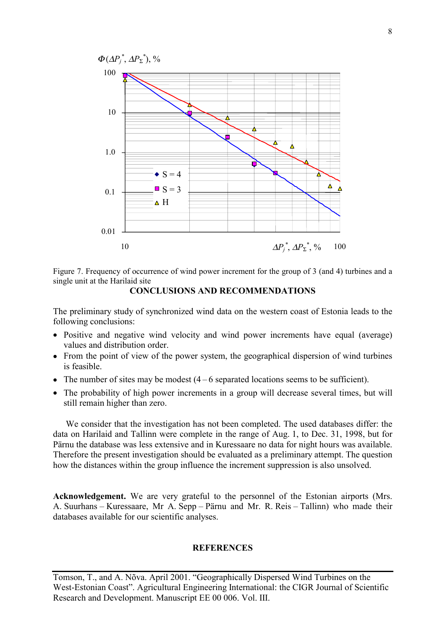

Figure 7. Frequency of occurrence of wind power increment for the group of 3 (and 4) turbines and a single unit at the Harilaid site

**CONCLUSIONS AND RECOMMENDATIONS** 

The preliminary study of synchronized wind data on the western coast of Estonia leads to the following conclusions:

- Positive and negative wind velocity and wind power increments have equal (average) values and distribution order.
- From the point of view of the power system, the geographical dispersion of wind turbines is feasible.
- The number of sites may be modest  $(4 6$  separated locations seems to be sufficient).
- The probability of high power increments in a group will decrease several times, but will still remain higher than zero.

We consider that the investigation has not been completed. The used databases differ: the data on Harilaid and Tallinn were complete in the range of Aug. 1, to Dec. 31, 1998, but for Pärnu the database was less extensive and in Kuressaare no data for night hours was available. Therefore the present investigation should be evaluated as a preliminary attempt. The question how the distances within the group influence the increment suppression is also unsolved.

**Acknowledgement.** We are very grateful to the personnel of the Estonian airports (Mrs. A. Suurhans – Kuressaare, Mr A. Sepp – Pärnu and Mr. R. Reis – Tallinn) who made their databases available for our scientific analyses.

## **REFERENCES**

Tomson, T., and A. Nõva. April 2001. "Geographically Dispersed Wind Turbines on the West-Estonian Coast". Agricultural Engineering International: the CIGR Journal of Scientific Research and Development. Manuscript EE 00 006. Vol. III.